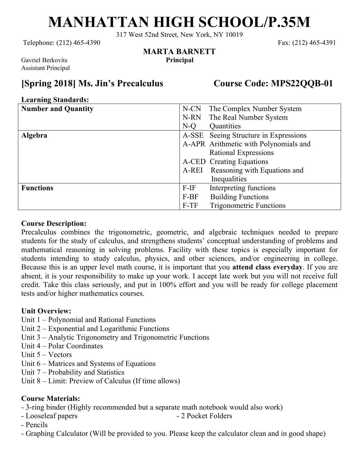# **MANHATTAN HIGH SCHOOL/P.35M**

317 West 52nd Street, New York, NY 10019

**MARTA BARNETT**

Telephone: (212) 465-4390 Fax: (212) 465-4391

Gavriel Berkovits **Principal** Assistant Principal

### **[Spring 2018] Ms. Jin's Precalculus Course Code: MPS22QQB-01**

#### **Learning Standards:**

| 0<br><b>Number and Quantity</b> | The Complex Number System<br>N-CN      |
|---------------------------------|----------------------------------------|
|                                 | The Real Number System<br>N-RN         |
|                                 | Quantities<br>N-Q                      |
| <b>Algebra</b>                  | A-SSE Seeing Structure in Expressions  |
|                                 | A-APR Arithmetic with Polynomials and  |
|                                 | <b>Rational Expressions</b>            |
|                                 | A-CED Creating Equations               |
|                                 | Reasoning with Equations and<br>A-REI  |
|                                 | Inequalities                           |
| <b>Functions</b>                | Interpreting functions<br>$F-IF$       |
|                                 | <b>Building Functions</b><br>F-BF      |
|                                 | <b>Trigonometric Functions</b><br>F-TF |

#### **Course Description:**

Precalculus combines the trigonometric, geometric, and algebraic techniques needed to prepare students for the study of calculus, and strengthens students' conceptual understanding of problems and mathematical reasoning in solving problems. Facility with these topics is especially important for students intending to study calculus, physics, and other sciences, and/or engineering in college. Because this is an upper level math course, it is important that you **attend class everyday**. If you are absent, it is your responsibility to make up your work. I accept late work but you will not receive full credit. Take this class seriously, and put in 100% effort and you will be ready for college placement tests and/or higher mathematics courses.

#### **Unit Overview:**

- Unit 1 Polynomial and Rational Functions
- Unit 2 Exponential and Logarithmic Functions
- Unit 3 Analytic Trigonometry and Trigonometric Functions
- Unit 4 Polar Coordinates
- Unit 5 Vectors
- Unit 6 Matrices and Systems of Equations
- Unit 7 Probability and Statistics
- Unit 8 Limit: Preview of Calculus (If time allows)

#### **Course Materials:**

- 3-ring binder (Highly recommended but a separate math notebook would also work)
- Looseleaf papers 2 Pocket Folders
- Pencils
- Graphing Calculator (Will be provided to you. Please keep the calculator clean and in good shape)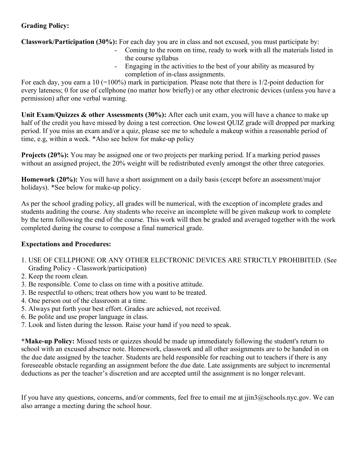#### **Grading Policy:**

**Classwork/Participation (30%):** For each day you are in class and not excused, you must participate by:

- Coming to the room on time, ready to work with all the materials listed in the course syllabus
- Engaging in the activities to the best of your ability as measured by completion of in-class assignments.

For each day, you earn a 10 (=100%) mark in participation. Please note that there is 1/2-point deduction for every lateness; 0 for use of cellphone (no matter how briefly) or any other electronic devices (unless you have a permission) after one verbal warning.

**Unit Exam/Quizzes & other Assessments (30%):** After each unit exam, you will have a chance to make up half of the credit you have missed by doing a test correction. One lowest QUIZ grade will dropped per marking period. If you miss an exam and/or a quiz, please see me to schedule a makeup within a reasonable period of time, e.g, within a week. \*Also see below for make-up policy

**Projects (20%):** You may be assigned one or two projects per marking period. If a marking period passes without an assigned project, the 20% weight will be redistributed evenly amongst the other three categories.

**Homework (20%):** You will have a short assignment on a daily basis (except before an assessment/major holidays). \*See below for make-up policy.

As per the school grading policy, all grades will be numerical, with the exception of incomplete grades and students auditing the course. Any students who receive an incomplete will be given makeup work to complete by the term following the end of the course. This work will then be graded and averaged together with the work completed during the course to compose a final numerical grade.

#### **Expectations and Procedures:**

- 1. USE OF CELLPHONE OR ANY OTHER ELECTRONIC DEVICES ARE STRICTLY PROHIBITED. (See Grading Policy - Classwork/participation)
- 2. Keep the room clean.
- 3. Be responsible. Come to class on time with a positive attitude.
- 3. Be respectful to others; treat others how you want to be treated.
- 4. One person out of the classroom at a time.
- 5. Always put forth your best effort. Grades are achieved, not received.
- 6. Be polite and use proper language in class.
- 7. Look and listen during the lesson. Raise your hand if you need to speak.

**\*Make-up Policy:** Missed tests or quizzes should be made up immediately following the student's return to school with an excused absence note. Homework, classwork and all other assignments are to be handed in on the due date assigned by the teacher. Students are held responsible for reaching out to teachers if there is any foreseeable obstacle regarding an assignment before the due date. Late assignments are subject to incremental deductions as per the teacher's discretion and are accepted until the assignment is no longer relevant.

If you have any questions, concerns, and/or comments, feel free to email me at jjin3@schools.nyc.gov. We can also arrange a meeting during the school hour.